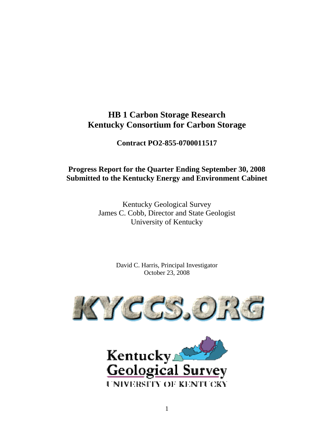# **HB 1 Carbon Storage Research Kentucky Consortium for Carbon Storage**

**Contract PO2-855-0700011517** 

# **Progress Report for the Quarter Ending September 30, 2008 Submitted to the Kentucky Energy and Environment Cabinet**

Kentucky Geological Survey James C. Cobb, Director and State Geologist University of Kentucky

> David C. Harris, Principal Investigator October 23, 2008



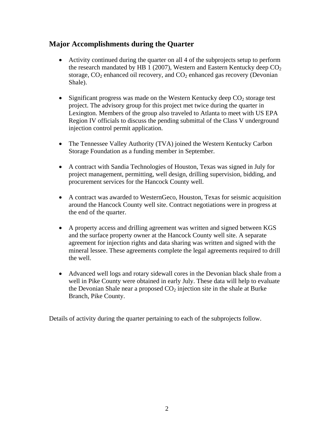# **Major Accomplishments during the Quarter**

- Activity continued during the quarter on all 4 of the subprojects setup to perform the research mandated by HB 1 (2007), Western and Eastern Kentucky deep  $CO<sub>2</sub>$ storage,  $CO_2$  enhanced oil recovery, and  $CO_2$  enhanced gas recovery (Devonian Shale).
- $\bullet$  Significant progress was made on the Western Kentucky deep  $CO<sub>2</sub>$  storage test project. The advisory group for this project met twice during the quarter in Lexington. Members of the group also traveled to Atlanta to meet with US EPA Region IV officials to discuss the pending submittal of the Class V underground injection control permit application.
- The Tennessee Valley Authority (TVA) joined the Western Kentucky Carbon Storage Foundation as a funding member in September.
- A contract with Sandia Technologies of Houston, Texas was signed in July for project management, permitting, well design, drilling supervision, bidding, and procurement services for the Hancock County well.
- A contract was awarded to WesternGeco, Houston, Texas for seismic acquisition around the Hancock County well site. Contract negotiations were in progress at the end of the quarter.
- A property access and drilling agreement was written and signed between KGS and the surface property owner at the Hancock County well site. A separate agreement for injection rights and data sharing was written and signed with the mineral lessee. These agreements complete the legal agreements required to drill the well.
- Advanced well logs and rotary sidewall cores in the Devonian black shale from a well in Pike County were obtained in early July. These data will help to evaluate the Devonian Shale near a proposed  $CO<sub>2</sub>$  injection site in the shale at Burke Branch, Pike County.

Details of activity during the quarter pertaining to each of the subprojects follow.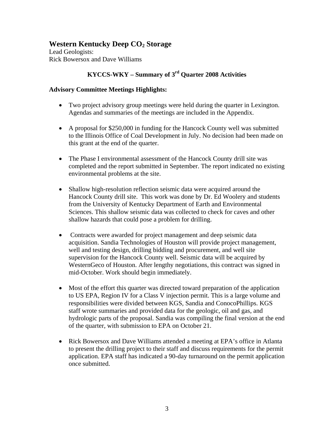# **Western Kentucky Deep CO<sub>2</sub> Storage**

Lead Geologists: Rick Bowersox and Dave Williams

# **KYCCS-WKY – Summary of 3rd Quarter 2008 Activities**

# **Advisory Committee Meetings Highlights:**

- Two project advisory group meetings were held during the quarter in Lexington. Agendas and summaries of the meetings are included in the Appendix.
- A proposal for \$250,000 in funding for the Hancock County well was submitted to the Illinois Office of Coal Development in July. No decision had been made on this grant at the end of the quarter.
- The Phase I environmental assessment of the Hancock County drill site was completed and the report submitted in September. The report indicated no existing environmental problems at the site.
- Shallow high-resolution reflection seismic data were acquired around the Hancock County drill site. This work was done by Dr. Ed Woolery and students from the University of Kentucky Department of Earth and Environmental Sciences. This shallow seismic data was collected to check for caves and other shallow hazards that could pose a problem for drilling.
- Contracts were awarded for project management and deep seismic data acquisition. Sandia Technologies of Houston will provide project management, well and testing design, drilling bidding and procurement, and well site supervision for the Hancock County well. Seismic data will be acquired by WesternGeco of Houston. After lengthy negotiations, this contract was signed in mid-October. Work should begin immediately.
- Most of the effort this quarter was directed toward preparation of the application to US EPA, Region IV for a Class V injection permit. This is a large volume and responsibilities were divided between KGS, Sandia and ConocoPhillips. KGS staff wrote summaries and provided data for the geologic, oil and gas, and hydrologic parts of the proposal. Sandia was compiling the final version at the end of the quarter, with submission to EPA on October 21.
- Rick Bowersox and Dave Williams attended a meeting at EPA's office in Atlanta to present the drilling project to their staff and discuss requirements for the permit application. EPA staff has indicated a 90-day turnaround on the permit application once submitted.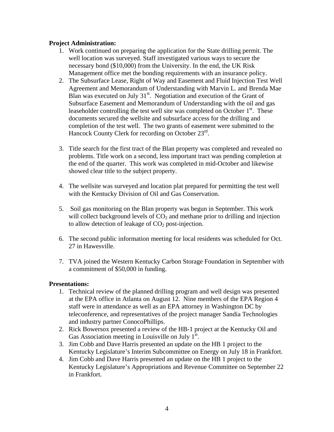# **Project Administration:**

- 1. Work continued on preparing the application for the State drilling permit. The well location was surveyed. Staff investigated various ways to secure the necessary bond (\$10,000) from the University. In the end, the UK Risk Management office met the bonding requirements with an insurance policy.
- 2. The Subsurface Lease, Right of Way and Easement and Fluid Injection Test Well Agreement and Memorandum of Understanding with Marvin L. and Brenda Mae Blan was executed on July  $31<sup>st</sup>$ . Negotiation and execution of the Grant of Subsurface Easement and Memorandum of Understanding with the oil and gas leaseholder controlling the test well site was completed on October  $1<sup>st</sup>$ . These documents secured the wellsite and subsurface access for the drilling and completion of the test well. The two grants of easement were submitted to the Hancock County Clerk for recording on October 23<sup>rd</sup>.
- 3. Title search for the first tract of the Blan property was completed and revealed no problems. Title work on a second, less important tract was pending completion at the end of the quarter. This work was completed in mid-October and likewise showed clear title to the subject property.
- 4. The wellsite was surveyed and location plat prepared for permitting the test well with the Kentucky Division of Oil and Gas Conservation.
- 5. Soil gas monitoring on the Blan property was begun in September. This work will collect background levels of  $CO<sub>2</sub>$  and methane prior to drilling and injection to allow detection of leakage of  $CO<sub>2</sub>$  post-injection.
- 6. The second public information meeting for local residents was scheduled for Oct. 27 in Hawesville.
- 7. TVA joined the Western Kentucky Carbon Storage Foundation in September with a commitment of \$50,000 in funding.

## **Presentations:**

- 1. Technical review of the planned drilling program and well design was presented at the EPA office in Atlanta on August 12. Nine members of the EPA Region 4 staff were in attendance as well as an EPA attorney in Washington DC by teleconference, and representatives of the project manager Sandia Technologies and industry partner ConocoPhillips.
- 2. Rick Bowersox presented a review of the HB-1 project at the Kentucky Oil and Gas Association meeting in Louisville on July  $1^{st}$ .
- 3. Jim Cobb and Dave Harris presented an update on the HB 1 project to the Kentucky Legislature's Interim Subcommittee on Energy on July 18 in Frankfort.
- 4. Jim Cobb and Dave Harris presented an update on the HB 1 project to the Kentucky Legislature's Appropriations and Revenue Committee on September 22 in Frankfort.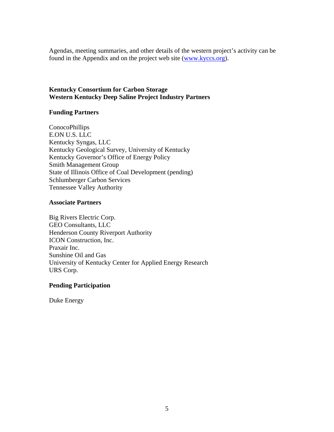Agendas, meeting summaries, and other details of the western project's activity can be found in the Appendix and on the project web site (www.kyccs.org).

# **Kentucky Consortium for Carbon Storage Western Kentucky Deep Saline Project Industry Partners**

# **Funding Partners**

ConocoPhillips E.ON U.S. LLC Kentucky Syngas, LLC Kentucky Geological Survey, University of Kentucky Kentucky Governor's Office of Energy Policy Smith Management Group State of Illinois Office of Coal Development (pending) Schlumberger Carbon Services Tennessee Valley Authority

## **Associate Partners**

Big Rivers Electric Corp. GEO Consultants, LLC Henderson County Riverport Authority ICON Construction, Inc. Praxair Inc. Sunshine Oil and Gas University of Kentucky Center for Applied Energy Research URS Corp.

## **Pending Participation**

Duke Energy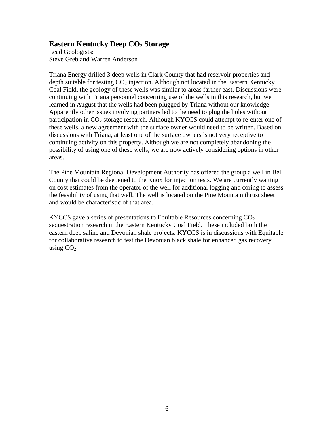# **Eastern Kentucky Deep CO<sub>2</sub> Storage**

Lead Geologists: Steve Greb and Warren Anderson

Triana Energy drilled 3 deep wells in Clark County that had reservoir properties and depth suitable for testing  $CO<sub>2</sub>$  injection. Although not located in the Eastern Kentucky Coal Field, the geology of these wells was similar to areas farther east. Discussions were continuing with Triana personnel concerning use of the wells in this research, but we learned in August that the wells had been plugged by Triana without our knowledge. Apparently other issues involving partners led to the need to plug the holes without participation in  $CO<sub>2</sub>$  storage research. Although KYCCS could attempt to re-enter one of these wells, a new agreement with the surface owner would need to be written. Based on discussions with Triana, at least one of the surface owners is not very receptive to continuing activity on this property. Although we are not completely abandoning the possibility of using one of these wells, we are now actively considering options in other areas.

The Pine Mountain Regional Development Authority has offered the group a well in Bell County that could be deepened to the Knox for injection tests. We are currently waiting on cost estimates from the operator of the well for additional logging and coring to assess the feasibility of using that well. The well is located on the Pine Mountain thrust sheet and would be characteristic of that area.

KYCCS gave a series of presentations to Equitable Resources concerning  $CO<sub>2</sub>$ sequestration research in the Eastern Kentucky Coal Field. These included both the eastern deep saline and Devonian shale projects. KYCCS is in discussions with Equitable for collaborative research to test the Devonian black shale for enhanced gas recovery using  $CO<sub>2</sub>$ .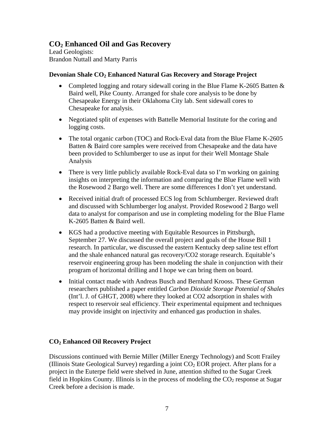# **CO2 Enhanced Oil and Gas Recovery**

Lead Geologists: Brandon Nuttall and Marty Parris

# **Devonian Shale CO<sub>2</sub> Enhanced Natural Gas Recovery and Storage Project**

- Completed logging and rotary sidewall coring in the Blue Flame K-2605 Batten & Baird well, Pike County. Arranged for shale core analysis to be done by Chesapeake Energy in their Oklahoma City lab. Sent sidewall cores to Chesapeake for analysis.
- Negotiated split of expenses with Battelle Memorial Institute for the coring and logging costs.
- The total organic carbon (TOC) and Rock-Eval data from the Blue Flame K-2605 Batten & Baird core samples were received from Chesapeake and the data have been provided to Schlumberger to use as input for their Well Montage Shale Analysis
- There is very little publicly available Rock-Eval data so I'm working on gaining insights on interpreting the information and comparing the Blue Flame well with the Rosewood 2 Bargo well. There are some differences I don't yet understand.
- Received initial draft of processed ECS log from Schlumberger. Reviewed draft and discussed with Schlumberger log analyst. Provided Rosewood 2 Bargo well data to analyst for comparison and use in completing modeling for the Blue Flame K-2605 Batten & Baird well.
- KGS had a productive meeting with Equitable Resources in Pittsburgh, September 27. We discussed the overall project and goals of the House Bill 1 research. In particular, we discussed the eastern Kentucky deep saline test effort and the shale enhanced natural gas recovery/CO2 storage research. Equitable's reservoir engineering group has been modeling the shale in conjunction with their program of horizontal drilling and I hope we can bring them on board.
- Initial contact made with Andreas Busch and Bernhard Krooss. These German researchers published a paper entitled *Carbon Dioxide Storage Potential of Shales* (Int'l. J. of GHGT, 2008) where they looked at CO2 adsorption in shales with respect to reservoir seal efficiency. Their experimental equipment and techniques may provide insight on injectivity and enhanced gas production in shales.

# **CO2 Enhanced Oil Recovery Project**

Discussions continued with Bernie Miller (Miller Energy Technology) and Scott Frailey (Illinois State Geological Survey) regarding a joint  $CO<sub>2</sub> EOR$  project. After plans for a project in the Euterpe field were shelved in June, attention shifted to the Sugar Creek field in Hopkins County. Illinois is in the process of modeling the  $CO<sub>2</sub>$  response at Sugar Creek before a decision is made.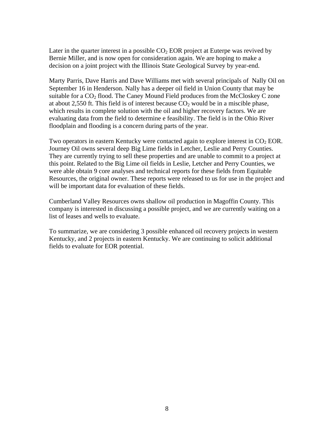Later in the quarter interest in a possible  $CO<sub>2</sub> EOR$  project at Euterpe was revived by Bernie Miller, and is now open for consideration again. We are hoping to make a decision on a joint project with the Illinois State Geological Survey by year-end.

Marty Parris, Dave Harris and Dave Williams met with several principals of Nally Oil on September 16 in Henderson. Nally has a deeper oil field in Union County that may be suitable for a  $CO<sub>2</sub>$  flood. The Caney Mound Field produces from the McCloskey C zone at about 2,550 ft. This field is of interest because  $CO<sub>2</sub>$  would be in a miscible phase, which results in complete solution with the oil and higher recovery factors. We are evaluating data from the field to determine e feasibility. The field is in the Ohio River floodplain and flooding is a concern during parts of the year.

Two operators in eastern Kentucky were contacted again to explore interest in  $CO<sub>2</sub> EOR$ . Journey Oil owns several deep Big Lime fields in Letcher, Leslie and Perry Counties. They are currently trying to sell these properties and are unable to commit to a project at this point. Related to the Big Lime oil fields in Leslie, Letcher and Perry Counties, we were able obtain 9 core analyses and technical reports for these fields from Equitable Resources, the original owner. These reports were released to us for use in the project and will be important data for evaluation of these fields.

Cumberland Valley Resources owns shallow oil production in Magoffin County. This company is interested in discussing a possible project, and we are currently waiting on a list of leases and wells to evaluate.

To summarize, we are considering 3 possible enhanced oil recovery projects in western Kentucky, and 2 projects in eastern Kentucky. We are continuing to solicit additional fields to evaluate for EOR potential.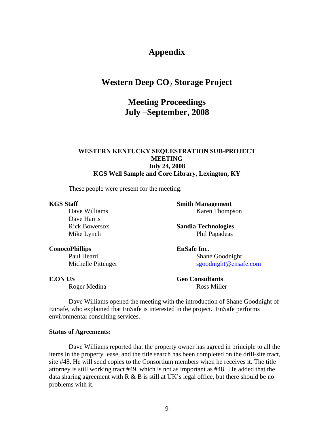# **Appendix**

# **Western Deep CO<sub>2</sub> Storage Project**

# **Meeting Proceedings July –September, 2008**

## **WESTERN KENTUCKY SEQUESTRATION SUB-PROJECT MEETING July 24, 2008 KGS Well Sample and Core Library, Lexington, KY**

These people were present for the meeting:

#### **KGS Staff**

Dave Williams Dave Harris Rick Bowersox Mike Lynch

**Smith Management** Karen Thompson

**Sandia Technologies** Phil Papadeas

**EnSafe Inc.** Shane Goodnight sgoodnight@ensafe.com

**E.ON US** 

**ConocoPhillips**

Roger Medina

Michelle Pittenger

Paul Heard

**Geo Consultants** Ross Miller

Dave Williams opened the meeting with the introduction of Shane Goodnight of EnSafe, who explained that EnSafe is interested in the project. EnSafe performs environmental consulting services.

### **Status of Agreements:**

 Dave Williams reported that the property owner has agreed in principle to all the items in the property lease, and the title search has been completed on the drill-site tract, site #48. He will send copies to the Consortium members when he receives it. The title attorney is still working tract #49, which is not as important as #48. He added that the data sharing agreement with  $R \& B$  is still at UK's legal office, but there should be no problems with it.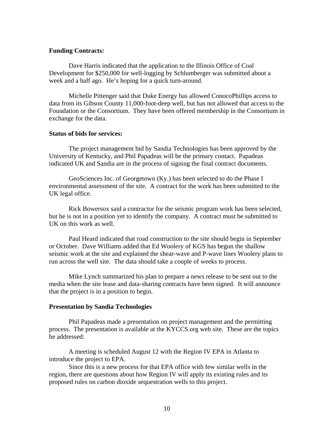#### **Funding Contracts:**

 Dave Harris indicated that the application to the Illinois Office of Coal Development for \$250,000 for well-logging by Schlumberger was submitted about a week and a half ago. He's hoping for a quick turn-around.

 Michelle Pittenger said that Duke Energy has allowed ConocoPhillips access to data from its Gibson County 11,000-foot-deep well, but has not allowed that access to the Foundation or the Consortium. They have been offered membership in the Consortium in exchange for the data.

#### **Status of bids for services:**

 The project management bid by Sandia Technologies has been approved by the University of Kentucky, and Phil Papadeas will be the primary contact. Papadeas indicated UK and Sandia are in the process of signing the final contract documents.

 GeoSciences Inc. of Georgetown (Ky.) has been selected to do the Phase I environmental assessment of the site. A contract for the work has been submitted to the UK legal office.

 Rick Bowersox said a contractor for the seismic program work has been selected, but he is not in a position yet to identify the company. A contract must be submitted to UK on this work as well.

 Paul Heard indicated that road construction to the site should begin in September or October. Dave Williams added that Ed Woolery of KGS has begun the shallow seismic work at the site and explained the shear-wave and P-wave lines Woolery plans to run across the well site. The data should take a couple of weeks to process.

 Mike Lynch summarized his plan to prepare a news release to be sent out to the media when the site lease and data-sharing contracts have been signed. It will announce that the project is in a position to begin.

### **Presentation by Sandia Technologies**

 Phil Papadeas made a presentation on project management and the permitting process. The presentation is available at the KYCCS.org web site. These are the topics he addressed:

 A meeting is scheduled August 12 with the Region IV EPA in Atlanta to introduce the project to EPA.

 Since this is a new process for that EPA office with few similar wells in the region, there are questions about how Region IV will apply its existing rules and its proposed rules on carbon dioxide sequestration wells to this project.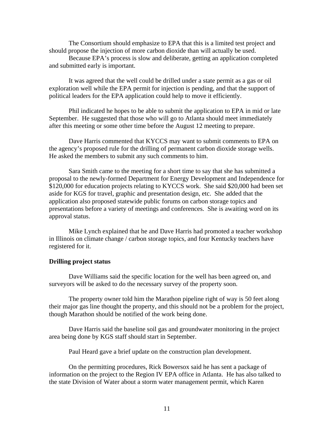The Consortium should emphasize to EPA that this is a limited test project and should propose the injection of more carbon dioxide than will actually be used.

 Because EPA's process is slow and deliberate, getting an application completed and submitted early is important.

 It was agreed that the well could be drilled under a state permit as a gas or oil exploration well while the EPA permit for injection is pending, and that the support of political leaders for the EPA application could help to move it efficiently.

 Phil indicated he hopes to be able to submit the application to EPA in mid or late September. He suggested that those who will go to Atlanta should meet immediately after this meeting or some other time before the August 12 meeting to prepare.

 Dave Harris commented that KYCCS may want to submit comments to EPA on the agency's proposed rule for the drilling of permanent carbon dioxide storage wells. He asked the members to submit any such comments to him.

 Sara Smith came to the meeting for a short time to say that she has submitted a proposal to the newly-formed Department for Energy Development and Independence for \$120,000 for education projects relating to KYCCS work. She said \$20,000 had been set aside for KGS for travel, graphic and presentation design, etc. She added that the application also proposed statewide public forums on carbon storage topics and presentations before a variety of meetings and conferences. She is awaiting word on its approval status.

 Mike Lynch explained that he and Dave Harris had promoted a teacher workshop in Illinois on climate change / carbon storage topics, and four Kentucky teachers have registered for it.

#### **Drilling project status**

 Dave Williams said the specific location for the well has been agreed on, and surveyors will be asked to do the necessary survey of the property soon.

 The property owner told him the Marathon pipeline right of way is 50 feet along their major gas line thought the property, and this should not be a problem for the project, though Marathon should be notified of the work being done.

 Dave Harris said the baseline soil gas and groundwater monitoring in the project area being done by KGS staff should start in September.

Paul Heard gave a brief update on the construction plan development.

 On the permitting procedures, Rick Bowersox said he has sent a package of information on the project to the Region IV EPA office in Atlanta. He has also talked to the state Division of Water about a storm water management permit, which Karen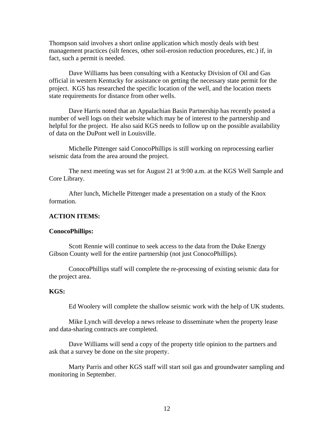Thompson said involves a short online application which mostly deals with best management practices (silt fences, other soil-erosion reduction procedures, etc.) if, in fact, such a permit is needed.

 Dave Williams has been consulting with a Kentucky Division of Oil and Gas official in western Kentucky for assistance on getting the necessary state permit for the project. KGS has researched the specific location of the well, and the location meets state requirements for distance from other wells.

Dave Harris noted that an Appalachian Basin Partnership has recently posted a number of well logs on their website which may be of interest to the partnership and helpful for the project. He also said KGS needs to follow up on the possible availability of data on the DuPont well in Louisville.

Michelle Pittenger said ConocoPhillips is still working on reprocessing earlier seismic data from the area around the project.

The next meeting was set for August 21 at 9:00 a.m. at the KGS Well Sample and Core Library.

After lunch, Michelle Pittenger made a presentation on a study of the Knox formation.

## **ACTION ITEMS:**

#### **ConocoPhillips:**

Scott Rennie will continue to seek access to the data from the Duke Energy Gibson County well for the entire partnership (not just ConocoPhillips).

 ConocoPhillips staff will complete the re-processing of existing seismic data for the project area.

## **KGS:**

Ed Woolery will complete the shallow seismic work with the help of UK students.

 Mike Lynch will develop a news release to disseminate when the property lease and data-sharing contracts are completed.

 Dave Williams will send a copy of the property title opinion to the partners and ask that a survey be done on the site property.

 Marty Parris and other KGS staff will start soil gas and groundwater sampling and monitoring in September.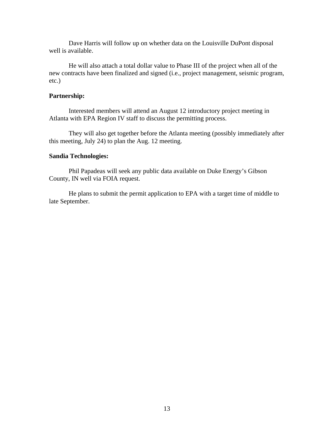Dave Harris will follow up on whether data on the Louisville DuPont disposal well is available.

 He will also attach a total dollar value to Phase III of the project when all of the new contracts have been finalized and signed (i.e., project management, seismic program, etc.)

## **Partnership:**

 Interested members will attend an August 12 introductory project meeting in Atlanta with EPA Region IV staff to discuss the permitting process.

 They will also get together before the Atlanta meeting (possibly immediately after this meeting, July 24) to plan the Aug. 12 meeting.

### **Sandia Technologies:**

Phil Papadeas will seek any public data available on Duke Energy's Gibson County, IN well via FOIA request.

 He plans to submit the permit application to EPA with a target time of middle to late September.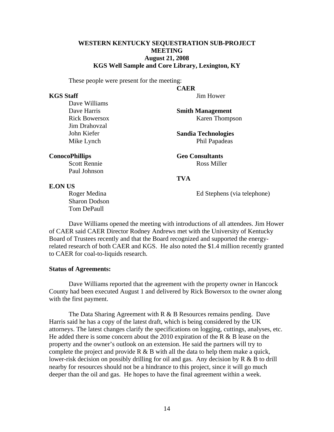## **WESTERN KENTUCKY SEQUESTRATION SUB-PROJECT MEETING August 21, 2008 KGS Well Sample and Core Library, Lexington, KY**

These people were present for the meeting:

#### **KGS Staff**

Jim Hower

Dave Williams Dave Harris Rick Bowersox Jim Drahovzal John Kiefer Mike Lynch

**Smith Management** Karen Thompson

**Sandia Technologies** Phil Papadeas

**Geo Consultants** Ross Miller

#### **TVA**

**CAER**

#### **E.ON US**

**ConocoPhillips**

Roger Medina Sharon Dodson Tom DePaull

Scott Rennie Paul Johnson

Ed Stephens (via telephone)

 Dave Williams opened the meeting with introductions of all attendees. Jim Hower of CAER said CAER Director Rodney Andrews met with the University of Kentucky Board of Trustees recently and that the Board recognized and supported the energyrelated research of both CAER and KGS. He also noted the \$1.4 million recently granted to CAER for coal-to-liquids research.

#### **Status of Agreements:**

 Dave Williams reported that the agreement with the property owner in Hancock County had been executed August 1 and delivered by Rick Bowersox to the owner along with the first payment.

The Data Sharing Agreement with  $R \& B$  Resources remains pending. Dave Harris said he has a copy of the latest draft, which is being considered by the UK attorneys. The latest changes clarify the specifications on logging, cuttings, analyses, etc. He added there is some concern about the 2010 expiration of the R  $\&$  B lease on the property and the owner's outlook on an extension. He said the partners will try to complete the project and provide  $R \& B$  with all the data to help them make a quick, lower-risk decision on possibly drilling for oil and gas. Any decision by R & B to drill nearby for resources should not be a hindrance to this project, since it will go much deeper than the oil and gas. He hopes to have the final agreement within a week.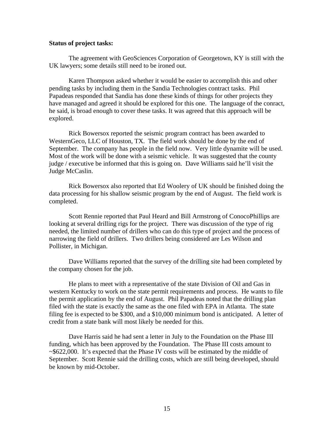#### **Status of project tasks:**

 The agreement with GeoSciences Corporation of Georgetown, KY is still with the UK lawyers; some details still need to be ironed out.

 Karen Thompson asked whether it would be easier to accomplish this and other pending tasks by including them in the Sandia Technologies contract tasks. Phil Papadeas responded that Sandia has done these kinds of things for other projects they have managed and agreed it should be explored for this one. The language of the conract, he said, is broad enough to cover these tasks. It was agreed that this approach will be explored.

 Rick Bowersox reported the seismic program contract has been awarded to WesternGeco, LLC of Houston, TX. The field work should be done by the end of September. The company has people in the field now. Very little dynamite will be used. Most of the work will be done with a seismic vehicle. It was suggested that the county judge / executive be informed that this is going on. Dave Williams said he'll visit the Judge McCaslin.

 Rick Bowersox also reported that Ed Woolery of UK should be finished doing the data processing for his shallow seismic program by the end of August. The field work is completed.

 Scott Rennie reported that Paul Heard and Bill Armstrong of ConocoPhillips are looking at several drilling rigs for the project. There was discussion of the type of rig needed, the limited number of drillers who can do this type of project and the process of narrowing the field of drillers. Two drillers being considered are Les Wilson and Pollister, in Michigan.

 Dave Williams reported that the survey of the drilling site had been completed by the company chosen for the job.

 He plans to meet with a representative of the state Division of Oil and Gas in western Kentucky to work on the state permit requirements and process. He wants to file the permit application by the end of August. Phil Papadeas noted that the drilling plan filed with the state is exactly the same as the one filed with EPA in Atlanta. The state filing fee is expected to be \$300, and a \$10,000 minimum bond is anticipated. A letter of credit from a state bank will most likely be needed for this.

 Dave Harris said he had sent a letter in July to the Foundation on the Phase III funding, which has been approved by the Foundation. The Phase III costs amount to ~\$622,000. It's expected that the Phase IV costs will be estimated by the middle of September. Scott Rennie said the drilling costs, which are still being developed, should be known by mid-October.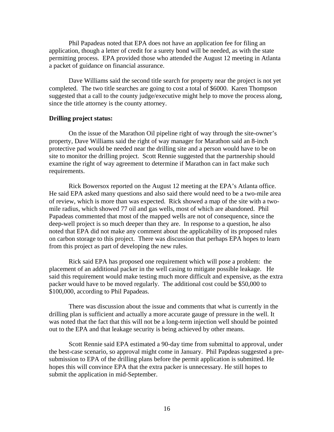Phil Papadeas noted that EPA does not have an application fee for filing an application, though a letter of credit for a surety bond will be needed, as with the state permitting process. EPA provided those who attended the August 12 meeting in Atlanta a packet of guidance on financial assurance.

 Dave Williams said the second title search for property near the project is not yet completed. The two title searches are going to cost a total of \$6000. Karen Thompson suggested that a call to the county judge/executive might help to move the process along, since the title attorney is the county attorney.

#### **Drilling project status:**

 On the issue of the Marathon Oil pipeline right of way through the site-owner's property, Dave Williams said the right of way manager for Marathon said an 8-inch protective pad would be needed near the drilling site and a person would have to be on site to monitor the drilling project. Scott Rennie suggested that the partnership should examine the right of way agreement to determine if Marathon can in fact make such requirements.

 Rick Bowersox reported on the August 12 meeting at the EPA's Atlanta office. He said EPA asked many questions and also said there would need to be a two-mile area of review, which is more than was expected. Rick showed a map of the site with a twomile radius, which showed 77 oil and gas wells, most of which are abandoned. Phil Papadeas commented that most of the mapped wells are not of consequence, since the deep-well project is so much deeper than they are. In response to a question, he also noted that EPA did not make any comment about the applicability of its proposed rules on carbon storage to this project. There was discussion that perhaps EPA hopes to learn from this project as part of developing the new rules.

 Rick said EPA has proposed one requirement which will pose a problem: the placement of an additional packer in the well casing to mitigate possible leakage. He said this requirement would make testing much more difficult and expensive, as the extra packer would have to be moved regularly. The additional cost could be \$50,000 to \$100,000, according to Phil Papadeas.

 There was discussion about the issue and comments that what is currently in the drilling plan is sufficient and actually a more accurate gauge of pressure in the well. It was noted that the fact that this will not be a long-term injection well should be pointed out to the EPA and that leakage security is being achieved by other means.

 Scott Rennie said EPA estimated a 90-day time from submittal to approval, under the best-case scenario, so approval might come in January. Phil Papdeas suggested a presubmission to EPA of the drilling plans before the permit application is submitted. He hopes this will convince EPA that the extra packer is unnecessary. He still hopes to submit the application in mid-September.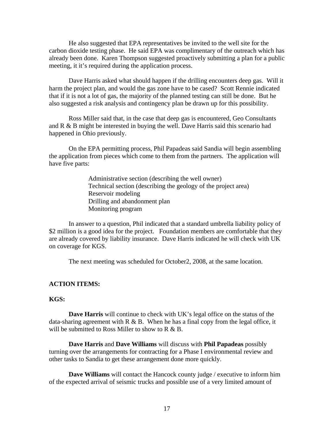He also suggested that EPA representatives be invited to the well site for the carbon dioxide testing phase. He said EPA was complimentary of the outreach which has already been done. Karen Thompson suggested proactively submitting a plan for a public meeting, it it's required during the application process.

 Dave Harris asked what should happen if the drilling encounters deep gas. Will it harm the project plan, and would the gas zone have to be cased? Scott Rennie indicated that if it is not a lot of gas, the majority of the planned testing can still be done. But he also suggested a risk analysis and contingency plan be drawn up for this possibility.

 Ross Miller said that, in the case that deep gas is encountered, Geo Consultants and R & B might be interested in buying the well. Dave Harris said this scenario had happened in Ohio previously.

 On the EPA permitting process, Phil Papadeas said Sandia will begin assembling the application from pieces which come to them from the partners. The application will have five parts:

> Administrative section (describing the well owner) Technical section (describing the geology of the project area) Reservoir modeling Drilling and abandonment plan Monitoring program

 In answer to a question, Phil indicated that a standard umbrella liability policy of \$2 million is a good idea for the project. Foundation members are comfortable that they are already covered by liability insurance. Dave Harris indicated he will check with UK on coverage for KGS.

The next meeting was scheduled for October2, 2008, at the same location.

#### **ACTION ITEMS:**

#### **KGS:**

**Dave Harris** will continue to check with UK's legal office on the status of the data-sharing agreement with  $R \& B$ . When he has a final copy from the legal office, it will be submitted to Ross Miller to show to  $R \& B$ .

**Dave Harris** and **Dave Williams** will discuss with **Phil Papadeas** possibly turning over the arrangements for contracting for a Phase I environmental review and other tasks to Sandia to get these arrangement done more quickly.

**Dave Williams** will contact the Hancock county judge / executive to inform him of the expected arrival of seismic trucks and possible use of a very limited amount of